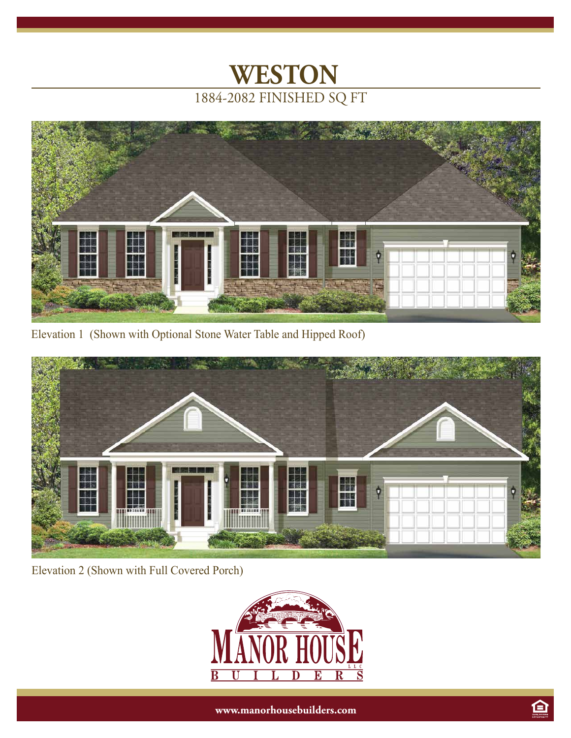



Elevation 1 (Shown with Optional Stone Water Table and Hipped Roof)



Elevation 2 (Shown with Full Covered Porch)